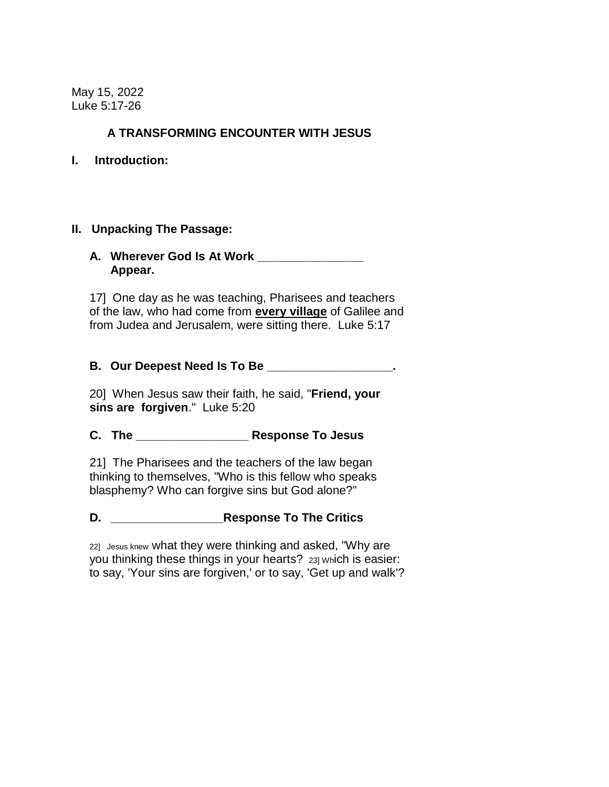May 15, 2022 Luke 5:17-26

## **A TRANSFORMING ENCOUNTER WITH JESUS**

#### **I. Introduction:**

#### **II. Unpacking The Passage:**

#### **A. Wherever God Is At Work \_\_\_\_\_\_\_\_\_\_\_\_\_\_\_\_ Appear.**

17] One day as he was teaching, Pharisees and teachers of the law, who had come from **every village** of Galilee and from Judea and Jerusalem, were sitting there. Luke 5:17

## **B. Our Deepest Need Is To Be \_\_\_\_\_\_\_\_\_\_\_\_\_\_\_\_\_\_\_.**

20] When Jesus saw their faith, he said, "**Friend, your sins are forgiven**." Luke 5:20

# **C. The \_\_\_\_\_\_\_\_\_\_\_\_\_\_\_\_\_ Response To Jesus**

21] The Pharisees and the teachers of the law began thinking to themselves, "Who is this fellow who speaks blasphemy? Who can forgive sins but God alone?"

**D. \_\_\_\_\_\_\_\_\_\_\_\_\_\_\_\_\_Response To The Critics**

22] Jesus knew what they were thinking and asked, "Why are you thinking these things in your hearts? 23] Which is easier: to say, 'Your sins are forgiven,' or to say, 'Get up and walk'?